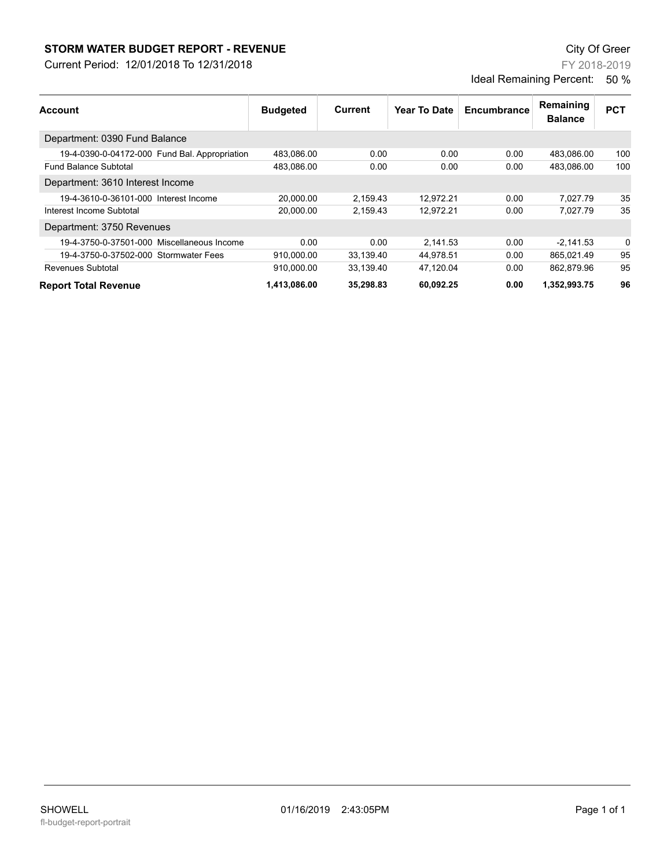## **STORM WATER BUDGET REPORT - REVENUE CONSUMPTER BUDGET REPORT - REVENUE**

Current Period: 12/01/2018 To 12/31/2018

FY 2018-2019 Ideal Remaining Percent: 50 %

| <b>Account</b>                                | <b>Budgeted</b> | Current   | <b>Year To Date</b> | Encumbrance | Remaining      | <b>PCT</b> |
|-----------------------------------------------|-----------------|-----------|---------------------|-------------|----------------|------------|
|                                               |                 |           |                     |             | <b>Balance</b> |            |
| Department: 0390 Fund Balance                 |                 |           |                     |             |                |            |
| 19-4-0390-0-04172-000 Fund Bal. Appropriation | 483.086.00      | 0.00      | 0.00                | 0.00        | 483.086.00     | 100        |
| <b>Fund Balance Subtotal</b>                  | 483,086.00      | 0.00      | 0.00                | 0.00        | 483.086.00     | 100        |
| Department: 3610 Interest Income              |                 |           |                     |             |                |            |
| 19-4-3610-0-36101-000 Interest Income         | 20.000.00       | 2,159.43  | 12.972.21           | 0.00        | 7,027.79       | 35         |
| Interest Income Subtotal                      | 20,000.00       | 2,159.43  | 12.972.21           | 0.00        | 7.027.79       | 35         |
| Department: 3750 Revenues                     |                 |           |                     |             |                |            |
| 19-4-3750-0-37501-000 Miscellaneous Income    | 0.00            | 0.00      | 2.141.53            | 0.00        | $-2.141.53$    | 0          |
| 19-4-3750-0-37502-000 Stormwater Fees         | 910.000.00      | 33.139.40 | 44.978.51           | 0.00        | 865.021.49     | 95         |
| Revenues Subtotal                             | 910.000.00      | 33.139.40 | 47.120.04           | 0.00        | 862.879.96     | 95         |
| <b>Report Total Revenue</b>                   | 1,413,086.00    | 35,298.83 | 60.092.25           | 0.00        | 1,352,993.75   | 96         |